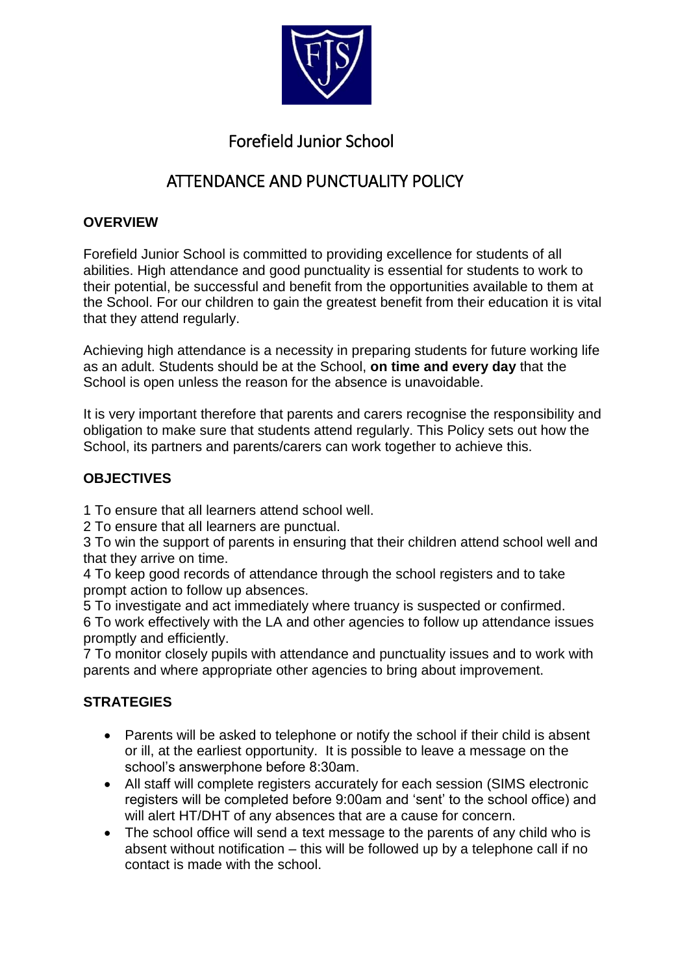

# Forefield Junior School

# ATTENDANCE AND PUNCTUALITY POLICY

### **OVERVIEW**

Forefield Junior School is committed to providing excellence for students of all abilities. High attendance and good punctuality is essential for students to work to their potential, be successful and benefit from the opportunities available to them at the School. For our children to gain the greatest benefit from their education it is vital that they attend regularly.

Achieving high attendance is a necessity in preparing students for future working life as an adult. Students should be at the School, **on time and every day** that the School is open unless the reason for the absence is unavoidable.

It is very important therefore that parents and carers recognise the responsibility and obligation to make sure that students attend regularly. This Policy sets out how the School, its partners and parents/carers can work together to achieve this.

# **OBJECTIVES**

1 To ensure that all learners attend school well.

2 To ensure that all learners are punctual.

3 To win the support of parents in ensuring that their children attend school well and that they arrive on time.

4 To keep good records of attendance through the school registers and to take prompt action to follow up absences.

5 To investigate and act immediately where truancy is suspected or confirmed.

6 To work effectively with the LA and other agencies to follow up attendance issues promptly and efficiently.

7 To monitor closely pupils with attendance and punctuality issues and to work with parents and where appropriate other agencies to bring about improvement.

# **STRATEGIES**

- Parents will be asked to telephone or notify the school if their child is absent or ill, at the earliest opportunity. It is possible to leave a message on the school's answerphone before 8:30am.
- All staff will complete registers accurately for each session (SIMS electronic registers will be completed before 9:00am and 'sent' to the school office) and will alert HT/DHT of any absences that are a cause for concern.
- The school office will send a text message to the parents of any child who is absent without notification – this will be followed up by a telephone call if no contact is made with the school.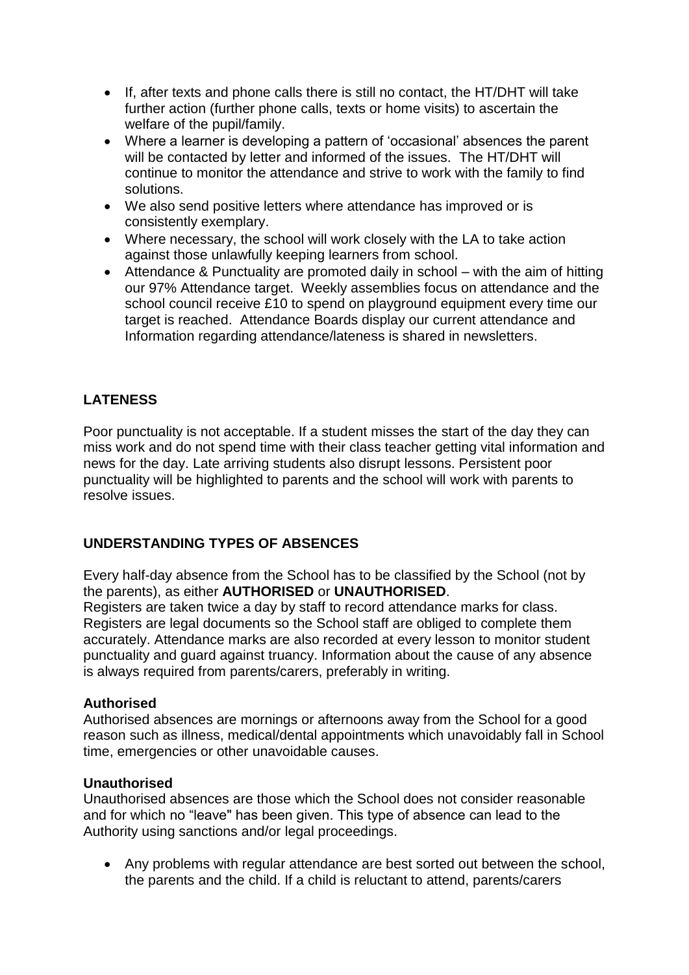- If, after texts and phone calls there is still no contact, the HT/DHT will take further action (further phone calls, texts or home visits) to ascertain the welfare of the pupil/family.
- Where a learner is developing a pattern of 'occasional' absences the parent will be contacted by letter and informed of the issues. The HT/DHT will continue to monitor the attendance and strive to work with the family to find solutions.
- We also send positive letters where attendance has improved or is consistently exemplary.
- Where necessary, the school will work closely with the LA to take action against those unlawfully keeping learners from school.
- Attendance & Punctuality are promoted daily in school with the aim of hitting our 97% Attendance target. Weekly assemblies focus on attendance and the school council receive £10 to spend on playground equipment every time our target is reached. Attendance Boards display our current attendance and Information regarding attendance/lateness is shared in newsletters.

# **LATENESS**

Poor punctuality is not acceptable. If a student misses the start of the day they can miss work and do not spend time with their class teacher getting vital information and news for the day. Late arriving students also disrupt lessons. Persistent poor punctuality will be highlighted to parents and the school will work with parents to resolve issues.

### **UNDERSTANDING TYPES OF ABSENCES**

Every half-day absence from the School has to be classified by the School (not by the parents), as either **AUTHORISED** or **UNAUTHORISED**.

Registers are taken twice a day by staff to record attendance marks for class. Registers are legal documents so the School staff are obliged to complete them accurately. Attendance marks are also recorded at every lesson to monitor student punctuality and guard against truancy. Information about the cause of any absence is always required from parents/carers, preferably in writing.

#### **Authorised**

Authorised absences are mornings or afternoons away from the School for a good reason such as illness, medical/dental appointments which unavoidably fall in School time, emergencies or other unavoidable causes.

#### **Unauthorised**

Unauthorised absences are those which the School does not consider reasonable and for which no "leave" has been given. This type of absence can lead to the Authority using sanctions and/or legal proceedings.

 Any problems with regular attendance are best sorted out between the school, the parents and the child. If a child is reluctant to attend, parents/carers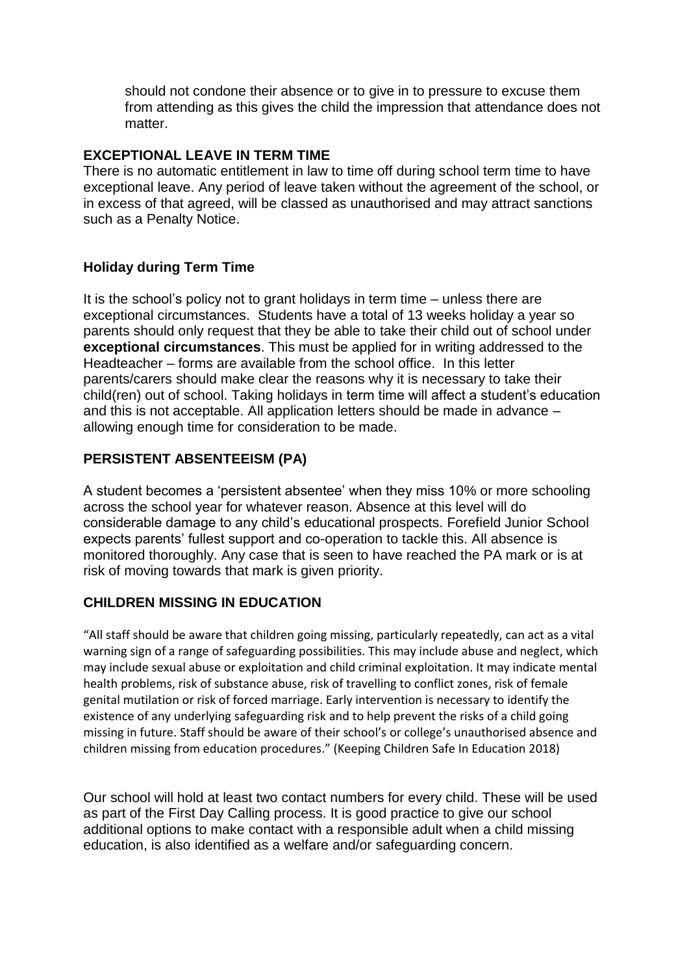should not condone their absence or to give in to pressure to excuse them from attending as this gives the child the impression that attendance does not matter.

#### **EXCEPTIONAL LEAVE IN TERM TIME**

There is no automatic entitlement in law to time off during school term time to have exceptional leave. Any period of leave taken without the agreement of the school, or in excess of that agreed, will be classed as unauthorised and may attract sanctions such as a Penalty Notice.

#### **Holiday during Term Time**

It is the school's policy not to grant holidays in term time – unless there are exceptional circumstances. Students have a total of 13 weeks holiday a year so parents should only request that they be able to take their child out of school under **exceptional circumstances**. This must be applied for in writing addressed to the Headteacher – forms are available from the school office. In this letter parents/carers should make clear the reasons why it is necessary to take their child(ren) out of school. Taking holidays in term time will affect a student's education and this is not acceptable. All application letters should be made in advance – allowing enough time for consideration to be made.

#### **PERSISTENT ABSENTEEISM (PA)**

A student becomes a 'persistent absentee' when they miss 10% or more schooling across the school year for whatever reason. Absence at this level will do considerable damage to any child's educational prospects. Forefield Junior School expects parents' fullest support and co-operation to tackle this. All absence is monitored thoroughly. Any case that is seen to have reached the PA mark or is at risk of moving towards that mark is given priority.

#### **CHILDREN MISSING IN EDUCATION**

"All staff should be aware that children going missing, particularly repeatedly, can act as a vital warning sign of a range of safeguarding possibilities. This may include abuse and neglect, which may include sexual abuse or exploitation and child criminal exploitation. It may indicate mental health problems, risk of substance abuse, risk of travelling to conflict zones, risk of female genital mutilation or risk of forced marriage. Early intervention is necessary to identify the existence of any underlying safeguarding risk and to help prevent the risks of a child going missing in future. Staff should be aware of their school's or college's unauthorised absence and children missing from education procedures." (Keeping Children Safe In Education 2018)

Our school will hold at least two contact numbers for every child. These will be used as part of the First Day Calling process. It is good practice to give our school additional options to make contact with a responsible adult when a child missing education, is also identified as a welfare and/or safeguarding concern.